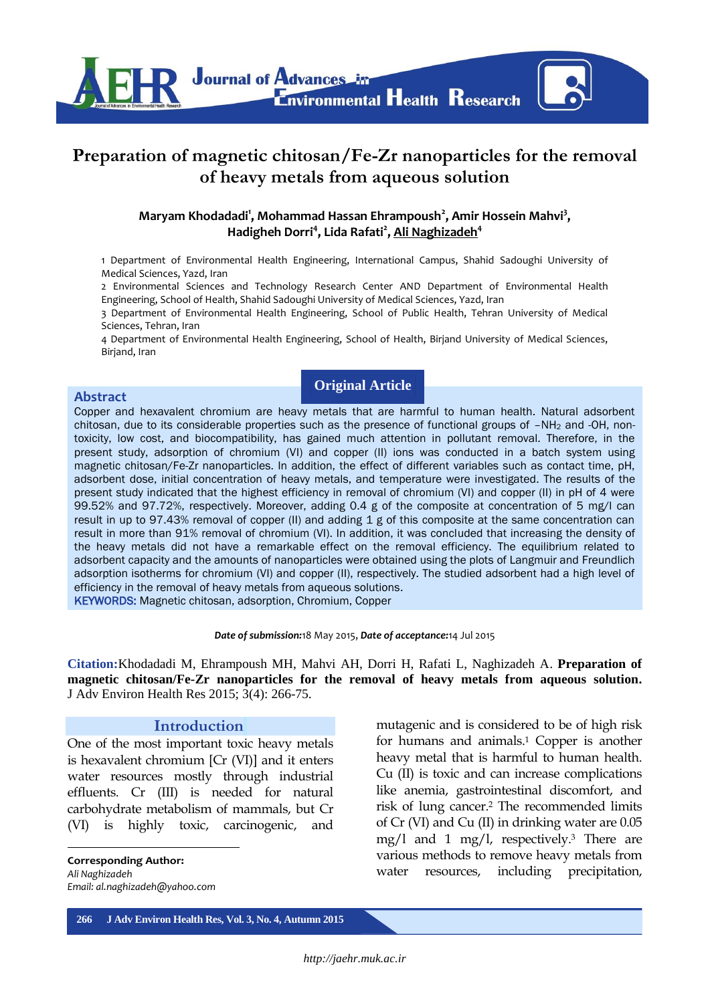

# **Preparation of magnetic chitosan/Fe-Zr nanoparticles for the removal of heavy metals from aqueous solution**

### **Maryam Khodadadi<sup>1</sup> , Mohammad Hassan Ehrampoush<sup>2</sup> , Amir Hossein Mahvi<sup>3</sup> , Hadigheh Dorri<sup>4</sup> , Lida Rafati<sup>2</sup> , Ali Naghizadeh<sup>4</sup>**

1 Department of Environmental Health Engineering, International Campus, Shahid Sadoughi University of Medical Sciences, Yazd, Iran

2 Environmental Sciences and Technology Research Center AND Department of Environmental Health Engineering, School of Health, Shahid Sadoughi University of Medical Sciences, Yazd, Iran

3 Department of Environmental Health Engineering, School of Public Health, Tehran University of Medical Sciences, Tehran, Iran

4 Department of Environmental Health Engineering, School of Health, Birjand University of Medical Sciences, Birjand, Iran

## **Original Article**

#### **Abstract**

Copper and hexavalent chromium are heavy metals that are harmful to human health. Natural adsorbent chitosan, due to its considerable properties such as the presence of functional groups of -NH<sub>2</sub> and -OH, nontoxicity, low cost, and biocompatibility, has gained much attention in pollutant removal. Therefore, in the present study, adsorption of chromium (VI) and copper (II) ions was conducted in a batch system using magnetic chitosan/Fe-Zr nanoparticles. In addition, the effect of different variables such as contact time, pH, adsorbent dose, initial concentration of heavy metals, and temperature were investigated. The results of the present study indicated that the highest efficiency in removal of chromium (VI) and copper (II) in pH of 4 were 99.52% and 97.72%, respectively. Moreover, adding 0.4 g of the composite at concentration of 5 mg/l can result in up to 97.43% removal of copper (II) and adding 1 g of this composite at the same concentration can result in more than 91% removal of chromium (VI). In addition, it was concluded that increasing the density of the heavy metals did not have a remarkable effect on the removal efficiency. The equilibrium related to adsorbent capacity and the amounts of nanoparticles were obtained using the plots of Langmuir and Freundlich adsorption isotherms for chromium (VI) and copper (II), respectively. The studied adsorbent had a high level of efficiency in the removal of heavy metals from aqueous solutions. KEYWORDS: Magnetic chitosan, adsorption, Chromium, Copper

*Date of submission:*18 May 2015, *Date of acceptance:*14 Jul 2015

**Citation:**Khodadadi M, Ehrampoush MH, Mahvi AH, Dorri H, Rafati L, Naghizadeh A. **Preparation of magnetic chitosan/Fe-Zr nanoparticles for the removal of heavy metals from aqueous solution.**  J Adv Environ Health Res 2015; 3(4): 266-75.

#### **Introduction**

One of the most important toxic heavy metals is hexavalent chromium [Cr (VI)] and it enters water resources mostly through industrial effluents. Cr (III) is needed for natural carbohydrate metabolism of mammals, but Cr (VI) is highly toxic, carcinogenic, and

**Corresponding Author:** *Ali Naghizadeh Email: [al.naghizadeh@yahoo.com](mailto:al.naghizadeh@yahoo.com)*

**.** 

mutagenic and is considered to be of high risk for humans and animals.<sup>1</sup> Copper is another heavy metal that is harmful to human health. Cu (II) is toxic and can increase complications like anemia, gastrointestinal discomfort, and risk of lung cancer.<sup>2</sup> The recommended limits of Cr (VI) and Cu (II) in drinking water are 0.05 mg/l and 1 mg/l, respectively.<sup>3</sup> There are various methods to remove heavy metals from water resources, including precipitation,

**266 J Adv Environ Health Res, Vol. 3, No. 4, Autumn 2015**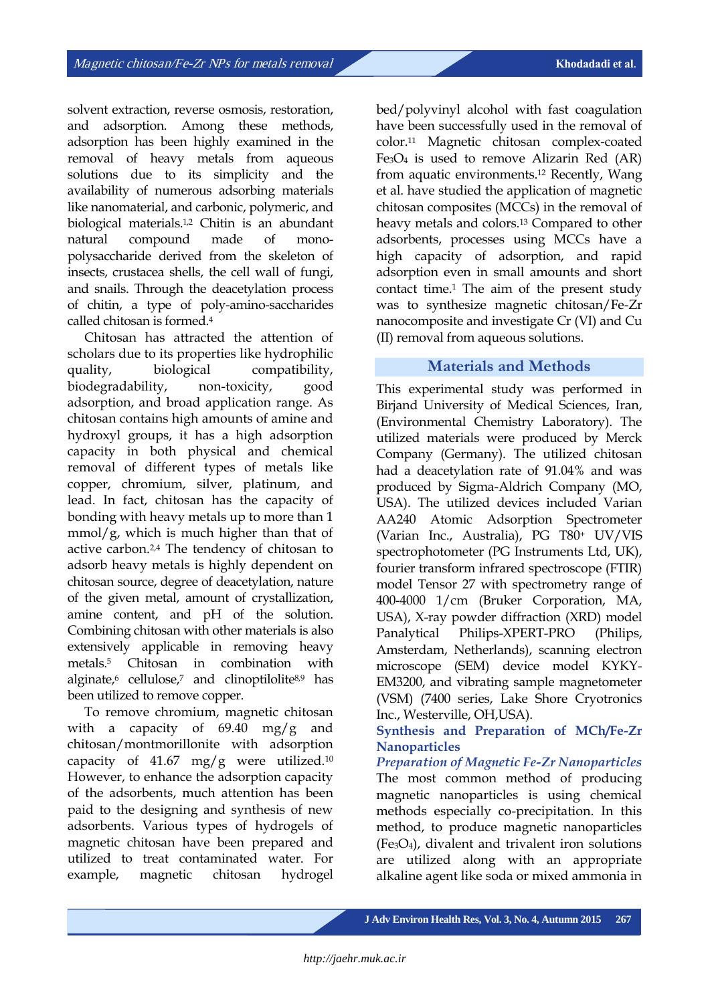solvent extraction, reverse osmosis, restoration, and adsorption. Among these methods, adsorption has been highly examined in the removal of heavy metals from aqueous solutions due to its simplicity and the availability of numerous adsorbing materials like nanomaterial, and carbonic, polymeric, and biological materials.1,2 Chitin is an abundant natural compound made of monopolysaccharide derived from the skeleton of insects, crustacea shells, the cell wall of fungi, and snails. Through the deacetylation process of chitin, a type of poly-amino-saccharides called chitosan is formed.<sup>4</sup>

Chitosan has attracted the attention of scholars due to its properties like hydrophilic quality, biological compatibility, biodegradability, non-toxicity, good adsorption, and broad application range. As chitosan contains high amounts of amine and hydroxyl groups, it has a high adsorption capacity in both physical and chemical removal of different types of metals like copper, chromium, silver, platinum, and lead. In fact, chitosan has the capacity of bonding with heavy metals up to more than 1  $mmol/g$ , which is much higher than that of active carbon.2,4 The tendency of chitosan to adsorb heavy metals is highly dependent on chitosan source, degree of deacetylation, nature of the given metal, amount of crystallization, amine content, and pH of the solution. Combining chitosan with other materials is also extensively applicable in removing heavy metals.<sup>5</sup> Chitosan in combination with alginate, $6$  cellulose, $7$  and clinoptilolite $8.9$  has been utilized to remove copper.

To remove chromium, magnetic chitosan with a capacity of 69.40 mg/g and chitosan/montmorillonite with adsorption capacity of 41.67 mg/g were utilized.<sup>10</sup> However, to enhance the adsorption capacity of the adsorbents, much attention has been paid to the designing and synthesis of new adsorbents. Various types of hydrogels of magnetic chitosan have been prepared and utilized to treat contaminated water. For example, magnetic chitosan hydrogel

bed/polyvinyl alcohol with fast coagulation have been successfully used in the removal of color.<sup>11</sup> Magnetic chitosan complex-coated  $Fe<sub>3</sub>O<sub>4</sub>$  is used to remove Alizarin Red (AR) from aquatic environments.<sup>12</sup> Recently, Wang et al. have studied the application of magnetic chitosan composites (MCCs) in the removal of heavy metals and colors.<sup>13</sup> Compared to other adsorbents, processes using MCCs have a high capacity of adsorption, and rapid adsorption even in small amounts and short contact time.<sup>1</sup> The aim of the present study was to synthesize magnetic chitosan/Fe-Zr nanocomposite and investigate Cr (VI) and Cu (II) removal from aqueous solutions.

## **Materials and Methods**

This experimental study was performed in Birjand University of Medical Sciences, Iran, (Environmental Chemistry Laboratory). The utilized materials were produced by Merck Company (Germany). The utilized chitosan had a deacetylation rate of 91.04% and was produced by Sigma-Aldrich Company (MO, USA). The utilized devices included Varian AA240 Atomic Adsorption Spectrometer (Varian Inc., Australia), PG T80<sup>+</sup> UV/VIS spectrophotometer (PG Instruments Ltd, UK), fourier transform infrared spectroscope (FTIR) model Tensor 27 with spectrometry range of 400-4000 1/cm (Bruker Corporation, MA, USA), X-ray powder diffraction (XRD) model Panalytical Philips-XPERT-PRO (Philips, Amsterdam, Netherlands), scanning electron microscope (SEM) device model KYKY-EM3200, and vibrating sample magnetometer (VSM) (7400 series, Lake Shore Cryotronics Inc., Westerville, OH,USA).

#### **Synthesis and Preparation of MCh/Fe-Zr Nanoparticles**

*Preparation of Magnetic Fe-Zr Nanoparticles* The most common method of producing magnetic nanoparticles is using chemical methods especially co-precipitation. In this method, to produce magnetic nanoparticles (Fe3O4), divalent and trivalent iron solutions are utilized along with an appropriate alkaline agent like soda or mixed ammonia in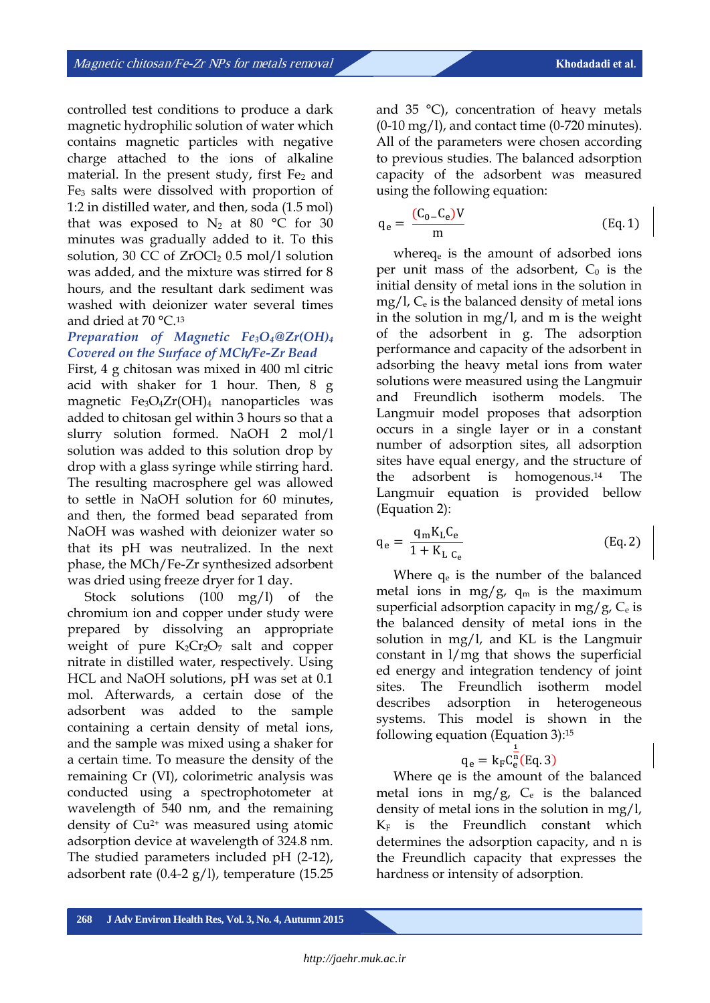controlled test conditions to produce a dark magnetic hydrophilic solution of water which contains magnetic particles with negative charge attached to the ions of alkaline material. In the present study, first  $Fe<sub>2</sub>$  and Fe<sup>3</sup> salts were dissolved with proportion of 1:2 in distilled water, and then, soda (1.5 mol) that was exposed to  $N_2$  at 80 °C for 30 minutes was gradually added to it. To this solution, 30 CC of  $ZrOCl<sub>2</sub> 0.5$  mol/l solution was added, and the mixture was stirred for 8 hours, and the resultant dark sediment was washed with deionizer water several times and dried at 70 °C. 13

### *Preparation of Magnetic Fe3O4@Zr(OH)<sup>4</sup> Covered on the Surface of MCh/Fe-Zr Bead*

First, 4 g chitosan was mixed in 400 ml citric acid with shaker for 1 hour. Then, 8 g magnetic Fe3O4Zr(OH)<sup>4</sup> nanoparticles was added to chitosan gel within 3 hours so that a slurry solution formed. NaOH 2 mol/l solution was added to this solution drop by drop with a glass syringe while stirring hard. The resulting macrosphere gel was allowed to settle in NaOH solution for 60 minutes, and then, the formed bead separated from NaOH was washed with deionizer water so that its pH was neutralized. In the next phase, the MCh/Fe-Zr synthesized adsorbent was dried using freeze dryer for 1 day.

Stock solutions (100 mg/l) of the chromium ion and copper under study were prepared by dissolving an appropriate weight of pure  $K_2Cr_2O_7$  salt and copper nitrate in distilled water, respectively. Using HCL and NaOH solutions, pH was set at 0.1 mol. Afterwards, a certain dose of the adsorbent was added to the sample containing a certain density of metal ions, and the sample was mixed using a shaker for a certain time. To measure the density of the remaining Cr (VI), colorimetric analysis was conducted using a spectrophotometer at wavelength of 540 nm, and the remaining density of Cu2+ was measured using atomic adsorption device at wavelength of 324.8 nm. The studied parameters included pH (2-12), adsorbent rate (0.4-2  $g$ /l), temperature (15.25

and 35 °C), concentration of heavy metals  $(0-10 \text{ mg/l})$ , and contact time  $(0-720 \text{ minutes})$ . All of the parameters were chosen according to previous studies. The balanced adsorption capacity of the adsorbent was measured using the following equation:

$$
q_e = \frac{(C_0 - C_e)V}{m}
$$
 (Eq. 1)

whereq<sup>e</sup> is the amount of adsorbed ions per unit mass of the adsorbent,  $C_0$  is the initial density of metal ions in the solution in  $mg/l$ ,  $C_e$  is the balanced density of metal ions in the solution in mg/l, and m is the weight of the adsorbent in g. The adsorption performance and capacity of the adsorbent in adsorbing the heavy metal ions from water solutions were measured using the Langmuir and Freundlich isotherm models. The Langmuir model proposes that adsorption occurs in a single layer or in a constant number of adsorption sites, all adsorption sites have equal energy, and the structure of the adsorbent is homogenous.<sup>14</sup> The Langmuir equation is provided bellow (Equation 2):

$$
q_e = \frac{q_m K_L C_e}{1 + K_{L C_e}}
$$
 (Eq. 2)

Where  $q_e$  is the number of the balanced metal ions in mg/g,  $q_m$  is the maximum superficial adsorption capacity in mg/g,  $C_e$  is the balanced density of metal ions in the solution in mg/l, and KL is the Langmuir constant in l/mg that shows the superficial ed energy and integration tendency of joint sites. The Freundlich isotherm model describes adsorption in heterogeneous systems. This model is shown in the following equation (Equation 3):<sup>15</sup>

#### $q_e = k_F C_e^n$ (Eq. 3)  $\mathbf{1}$

Where qe is the amount of the balanced metal ions in mg/g,  $C_e$  is the balanced density of metal ions in the solution in mg/l,  $K_F$  is the Freundlich constant which determines the adsorption capacity, and n is the Freundlich capacity that expresses the hardness or intensity of adsorption.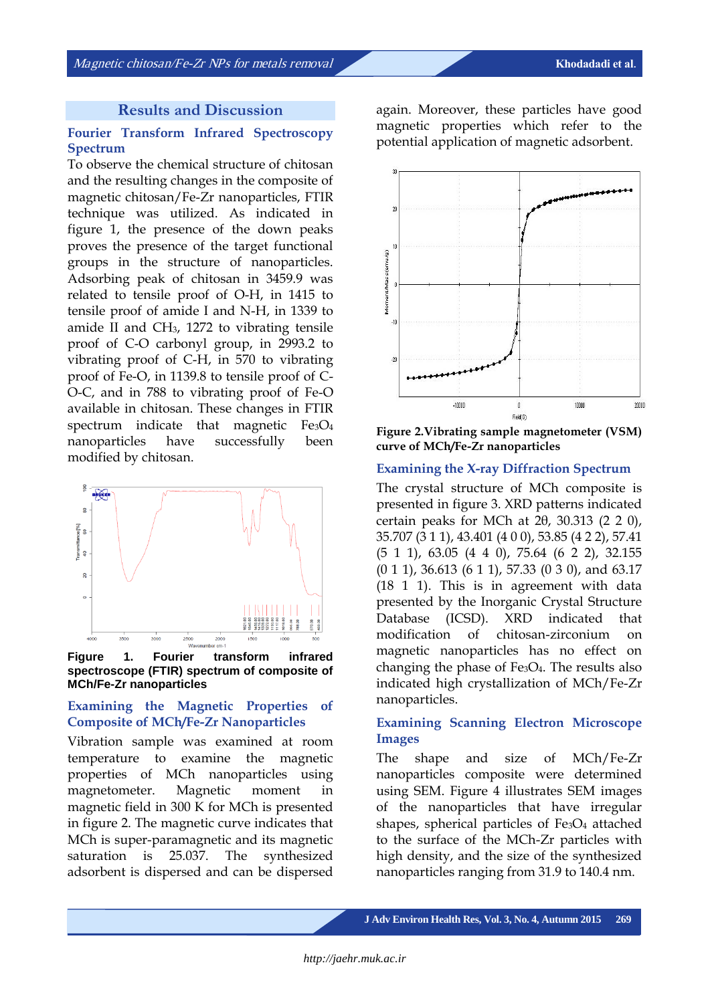#### **Results and Discussion**

#### **Fourier Transform Infrared Spectroscopy Spectrum**

To observe the chemical structure of chitosan and the resulting changes in the composite of magnetic chitosan/Fe-Zr nanoparticles, FTIR technique was utilized. As indicated in figure 1, the presence of the down peaks proves the presence of the target functional groups in the structure of nanoparticles. Adsorbing peak of chitosan in 3459.9 was related to tensile proof of O-H, in 1415 to tensile proof of amide I and N-H, in 1339 to amide II and CH3, 1272 to vibrating tensile proof of C-O carbonyl group, in 2993.2 to vibrating proof of C-H, in 570 to vibrating proof of Fe-O, in 1139.8 to tensile proof of C-O-C, and in 788 to vibrating proof of Fe-O available in chitosan. These changes in FTIR spectrum indicate that magnetic  $Fe<sub>3</sub>O<sub>4</sub>$ nanoparticles have successfully been modified by chitosan.



**Figure 1. Fourier transform infrared spectroscope (FTIR) spectrum of composite of MCh/Fe-Zr nanoparticles**

#### **Examining the Magnetic Properties of Composite of MCh/Fe-Zr Nanoparticles**

Vibration sample was examined at room temperature to examine the magnetic properties of MCh nanoparticles using magnetometer. Magnetic moment in magnetic field in 300 K for MCh is presented in figure 2. The magnetic curve indicates that MCh is super-paramagnetic and its magnetic saturation is 25.037. The synthesized adsorbent is dispersed and can be dispersed

again. Moreover, these particles have good magnetic properties which refer to the potential application of magnetic adsorbent.



**Figure 2.Vibrating sample magnetometer (VSM) curve of MCh/Fe-Zr nanoparticles**

#### **Examining the X-ray Diffraction Spectrum**

The crystal structure of MCh composite is presented in figure 3. XRD patterns indicated certain peaks for MCh at  $2\theta$ , 30.313 (2 2 0), 35.707 (3 1 1), 43.401 (4 0 0), 53.85 (4 2 2), 57.41 (5 1 1), 63.05 (4 4 0), 75.64 (6 2 2), 32.155 (0 1 1), 36.613 (6 1 1), 57.33 (0 3 0), and 63.17 (18 1 1). This is in agreement with data presented by the Inorganic Crystal Structure Database (ICSD). XRD indicated that modification of chitosan-zirconium on magnetic nanoparticles has no effect on changing the phase of  $Fe<sub>3</sub>O<sub>4</sub>$ . The results also indicated high crystallization of MCh/Fe-Zr nanoparticles.

#### **Examining Scanning Electron Microscope Images**

The shape and size of MCh/Fe-Zr nanoparticles composite were determined using SEM. Figure 4 illustrates SEM images of the nanoparticles that have irregular shapes, spherical particles of Fe<sub>3</sub>O<sub>4</sub> attached to the surface of the MCh-Zr particles with high density, and the size of the synthesized nanoparticles ranging from 31.9 to 140.4 nm.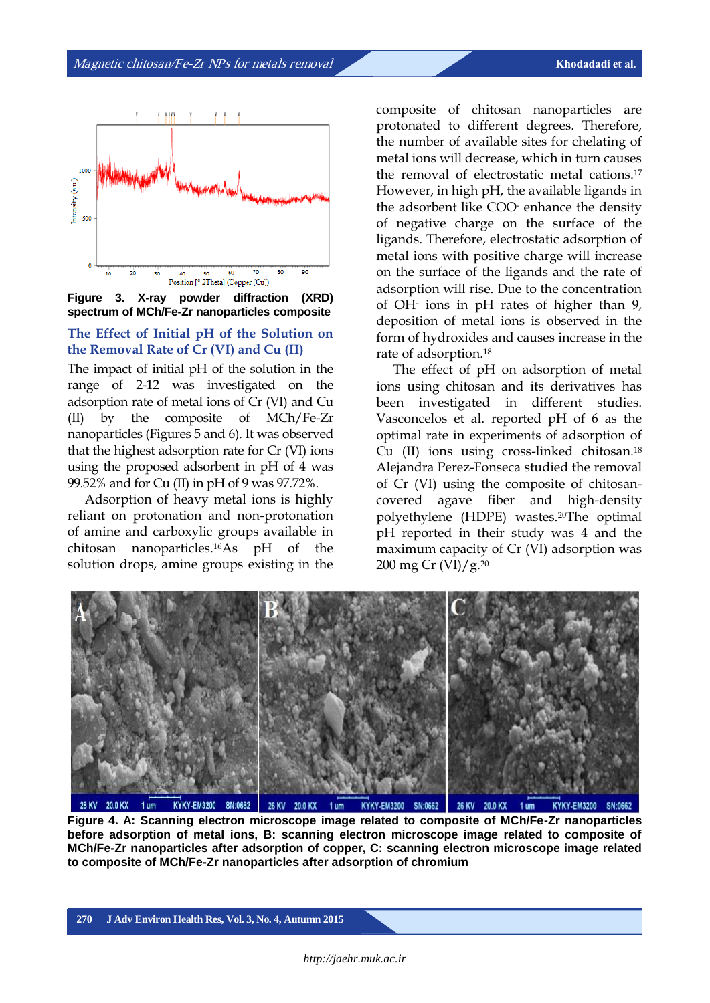

**Figure 3. X-ray powder diffraction (XRD) spectrum of MCh/Fe-Zr nanoparticles composite**

#### **The Effect of Initial pH of the Solution on the Removal Rate of Cr (VI) and Cu (II)**

The impact of initial pH of the solution in the range of 2-12 was investigated on the adsorption rate of metal ions of Cr (VI) and Cu (II) by the composite of MCh/Fe-Zr nanoparticles (Figures 5 and 6). It was observed that the highest adsorption rate for Cr (VI) ions using the proposed adsorbent in pH of 4 was 99.52% and for Cu (II) in pH of 9 was 97.72%.

Adsorption of heavy metal ions is highly reliant on protonation and non-protonation of amine and carboxylic groups available in chitosan nanoparticles.16As pH of the solution drops, amine groups existing in the

composite of chitosan nanoparticles are protonated to different degrees. Therefore, the number of available sites for chelating of metal ions will decrease, which in turn causes the removal of electrostatic metal cations.<sup>17</sup> However, in high pH, the available ligands in the adsorbent like COO- enhance the density of negative charge on the surface of the ligands. Therefore, electrostatic adsorption of metal ions with positive charge will increase on the surface of the ligands and the rate of adsorption will rise. Due to the concentration of OH-ions in pH rates of higher than 9, deposition of metal ions is observed in the form of hydroxides and causes increase in the rate of adsorption.<sup>18</sup>

The effect of pH on adsorption of metal ions using chitosan and its derivatives has been investigated in different studies. Vasconcelos et al. reported pH of 6 as the optimal rate in experiments of adsorption of Cu (II) ions using cross-linked chitosan.<sup>18</sup> Alejandra Perez-Fonseca studied the removal of Cr (VI) using the composite of chitosancovered agave fiber and high-density polyethylene (HDPE) wastes.20The optimal pH reported in their study was 4 and the maximum capacity of Cr (VI) adsorption was 200 mg Cr  $(VI)/g$ <sup>20</sup>



**Figure 4. A: Scanning electron microscope image related to composite of MCh/Fe-Zr nanoparticles before adsorption of metal ions, B: scanning electron microscope image related to composite of MCh/Fe-Zr nanoparticles after adsorption of copper, C: scanning electron microscope image related to composite of MCh/Fe-Zr nanoparticles after adsorption of chromium**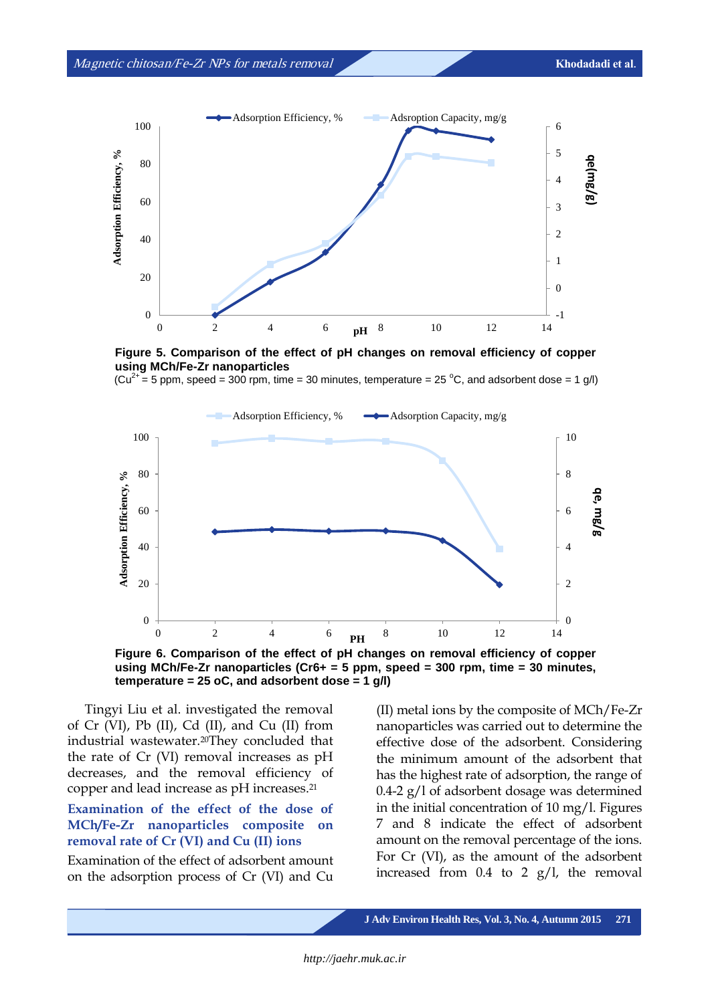



**Figure 5. Comparison of the effect of pH changes on removal efficiency of copper using MCh/Fe-Zr nanoparticles**

 $(Cu^{2+} = 5$  ppm, speed = 300 rpm, time = 30 minutes, temperature = 25 °C, and adsorbent dose = 1 g/l)



**Figure 6. Comparison of the effect of pH changes on removal efficiency of copper using MCh/Fe-Zr nanoparticles (Cr6+ = 5 ppm, speed = 300 rpm, time = 30 minutes, temperature = 25 oC, and adsorbent dose = 1 g/l)**

Tingyi Liu et al. investigated the removal of Cr (VI), Pb (II), Cd (II), and Cu (II) from industrial wastewater.20They concluded that the rate of Cr (VI) removal increases as pH decreases, and the removal efficiency of copper and lead increase as pH increases.<sup>21</sup>

### **Examination of the effect of the dose of MCh/Fe-Zr nanoparticles composite on removal rate of Cr (VI) and Cu (II) ions**

Examination of the effect of adsorbent amount on the adsorption process of Cr (VI) and Cu (II) metal ions by the composite of MCh/Fe-Zr nanoparticles was carried out to determine the effective dose of the adsorbent. Considering the minimum amount of the adsorbent that has the highest rate of adsorption, the range of 0.4-2 g/l of adsorbent dosage was determined in the initial concentration of 10 mg/l. Figures 7 and 8 indicate the effect of adsorbent amount on the removal percentage of the ions. For Cr (VI), as the amount of the adsorbent increased from 0.4 to 2 g/l, the removal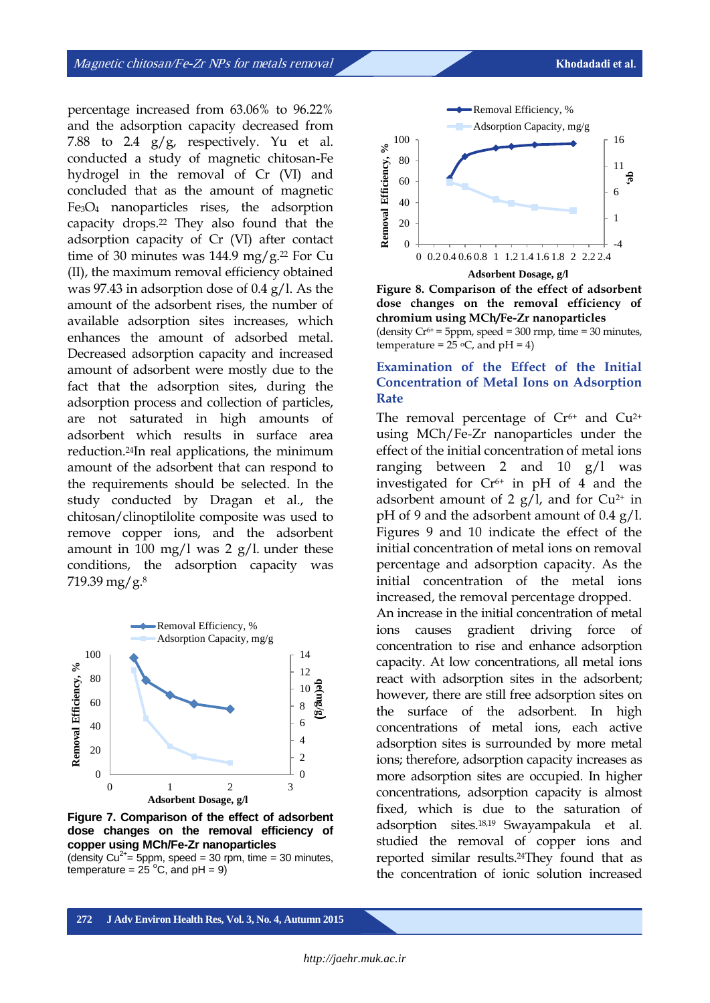percentage increased from 63.06% to 96.22% and the adsorption capacity decreased from 7.88 to 2.4  $g/g$ , respectively. Yu et al. conducted a study of magnetic chitosan-Fe hydrogel in the removal of Cr (VI) and concluded that as the amount of magnetic Fe3O<sup>4</sup> nanoparticles rises, the adsorption capacity drops.<sup>22</sup> They also found that the adsorption capacity of Cr (VI) after contact time of 30 minutes was  $144.9 \text{ mg/g}.^{22}$  For Cu (II), the maximum removal efficiency obtained was 97.43 in adsorption dose of 0.4 g/l. As the amount of the adsorbent rises, the number of available adsorption sites increases, which enhances the amount of adsorbed metal. Decreased adsorption capacity and increased amount of adsorbent were mostly due to the fact that the adsorption sites, during the adsorption process and collection of particles, are not saturated in high amounts of adsorbent which results in surface area reduction.24In real applications, the minimum amount of the adsorbent that can respond to the requirements should be selected. In the study conducted by Dragan et al., the chitosan/clinoptilolite composite was used to remove copper ions, and the adsorbent amount in 100 mg/l was 2 g/l. under these conditions, the adsorption capacity was 719.39 mg/g.<sup>8</sup>



**Figure 7. Comparison of the effect of adsorbent dose changes on the removal efficiency of copper using MCh/Fe-Zr nanoparticles** (density  $Cu^{2+}$  = 5ppm, speed = 30 rpm, time = 30 minutes,

temperature =  $25^{\circ}$ C, and pH = 9)



**Figure 8. Comparison of the effect of adsorbent dose changes on the removal efficiency of chromium using MCh/Fe-Zr nanoparticles**  (density  $Cr^{6+}$  = 5ppm, speed = 300 rmp, time = 30 minutes, temperature =  $25$  °C, and pH = 4)

#### **Examination of the Effect of the Initial Concentration of Metal Ions on Adsorption Rate**

The removal percentage of  $Cr<sup>6+</sup>$  and  $Cu<sup>2+</sup>$ using MCh/Fe-Zr nanoparticles under the effect of the initial concentration of metal ions ranging between 2 and 10  $g/l$  was investigated for  $Cr<sup>6+</sup>$  in pH of 4 and the adsorbent amount of 2  $g/l$ , and for Cu<sup>2+</sup> in pH of 9 and the adsorbent amount of 0.4 g/l. Figures 9 and 10 indicate the effect of the initial concentration of metal ions on removal percentage and adsorption capacity. As the initial concentration of the metal ions increased, the removal percentage dropped.

An increase in the initial concentration of metal ions causes gradient driving force of concentration to rise and enhance adsorption capacity. At low concentrations, all metal ions react with adsorption sites in the adsorbent; however, there are still free adsorption sites on the surface of the adsorbent. In high concentrations of metal ions, each active adsorption sites is surrounded by more metal ions; therefore, adsorption capacity increases as more adsorption sites are occupied. In higher concentrations, adsorption capacity is almost fixed, which is due to the saturation of adsorption sites.18,19 Swayampakula et al. studied the removal of copper ions and reported similar results.24They found that as the concentration of ionic solution increased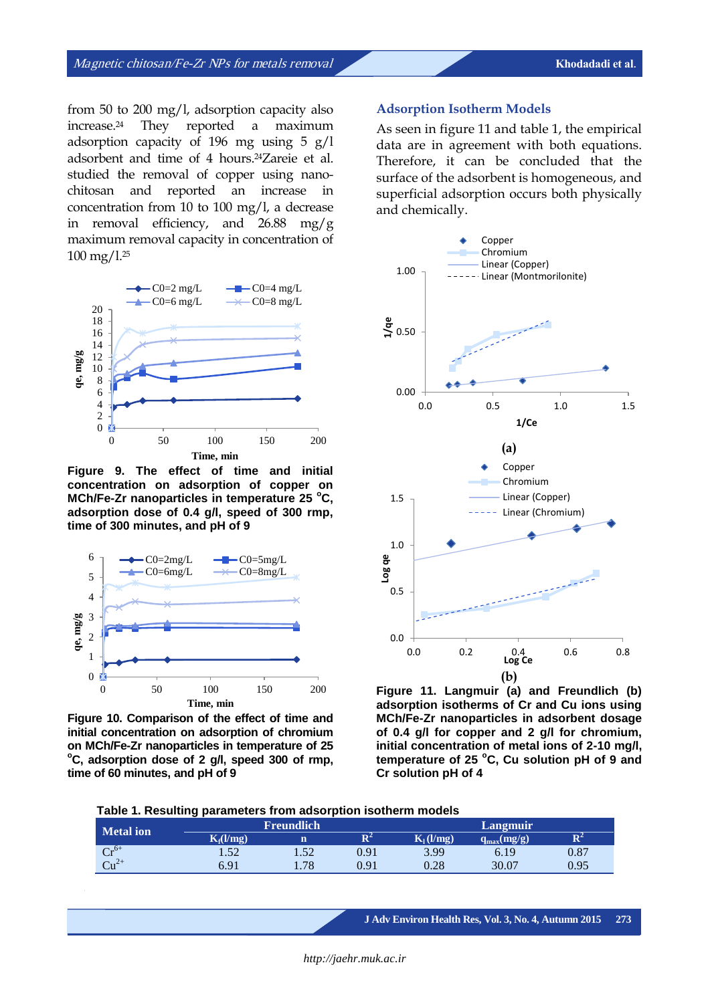from 50 to 200 mg/l, adsorption capacity also increase.<sup>24</sup> They reported a maximum adsorption capacity of 196 mg using 5 g/l adsorbent and time of 4 hours.24Zareie et al. studied the removal of copper using nanochitosan and reported an increase in concentration from 10 to 100 mg/l, a decrease in removal efficiency, and 26.88 mg/g maximum removal capacity in concentration of 100 mg/l.<sup>25</sup>



**Figure 9. The effect of time and initial concentration on adsorption of copper on MCh/Fe-Zr nanoparticles in temperature 25 <sup>o</sup>C, adsorption dose of 0.4 g/l, speed of 300 rmp, time of 300 minutes, and pH of 9**



**Figure 10. Comparison of the effect of time and initial concentration on adsorption of chromium on MCh/Fe-Zr nanoparticles in temperature of 25 <sup>o</sup>C, adsorption dose of 2 g/l, speed 300 of rmp, time of 60 minutes, and pH of 9**

#### **Adsorption Isotherm Models**

As seen in figure 11 and table 1, the empirical data are in agreement with both equations. Therefore, it can be concluded that the surface of the adsorbent is homogeneous, and superficial adsorption occurs both physically and chemically.



**Figure 11. Langmuir (a) and Freundlich (b) adsorption isotherms of Cr and Cu ions using MCh/Fe-Zr nanoparticles in adsorbent dosage of 0.4 g/l for copper and 2 g/l for chromium, initial concentration of metal ions of 2-10 mg/l, temperature of 25 <sup>o</sup>C, Cu solution pH of 9 and Cr solution pH of 4**

| Metal ion | . .<br><b>Freundlich</b> |      |                | Langmuir    |                 |                |
|-----------|--------------------------|------|----------------|-------------|-----------------|----------------|
|           | $K_f(l/mg)$              |      | $\mathbf{R}^2$ | $K_1(l/mg)$ | $q_{max}(mg/g)$ | $\mathbf{R}^2$ |
| $Cr^{6+}$ | 1.52                     | 1.52 | 0.91           | 3.99        | 6.19            | 0.87           |
| $Cu2+$    | 6.91                     | 1.78 | 0.91           | 0.28        | 30.07           | 0.95           |

**J Adv Environ Health Res, Vol. 3, No. 4, Autumn 2015 273**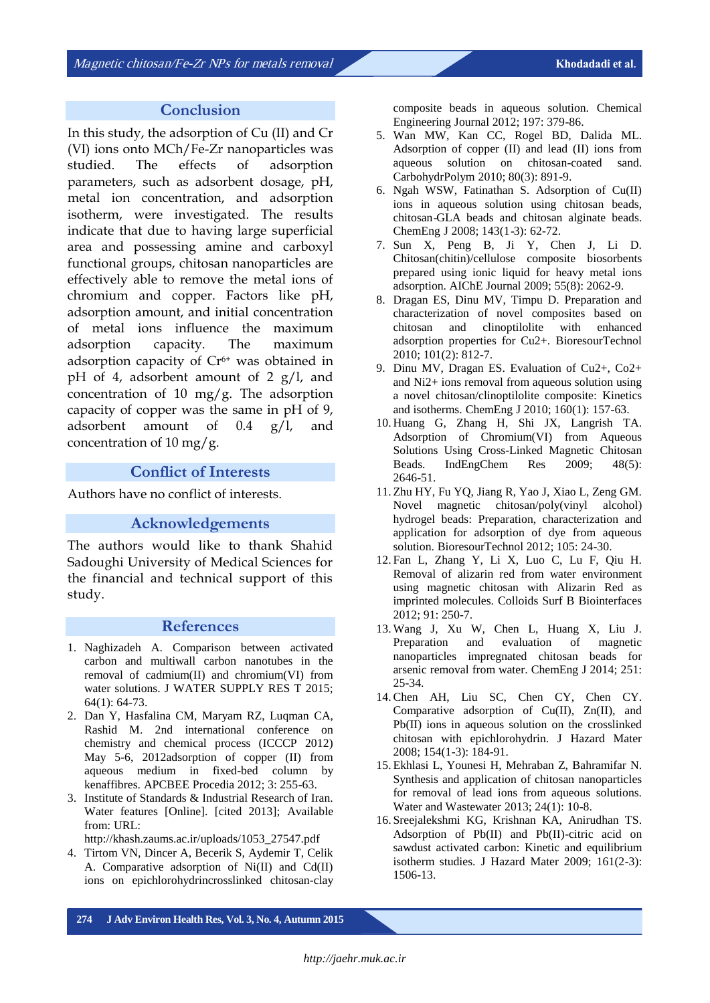#### **Conclusion**

In this study, the adsorption of Cu (II) and Cr (VI) ions onto MCh/Fe-Zr nanoparticles was studied. The effects of adsorption parameters, such as adsorbent dosage, pH, metal ion concentration, and adsorption isotherm, were investigated. The results indicate that due to having large superficial area and possessing amine and carboxyl functional groups, chitosan nanoparticles are effectively able to remove the metal ions of chromium and copper. Factors like pH, adsorption amount, and initial concentration of metal ions influence the maximum adsorption capacity. The maximum adsorption capacity of  $Cr<sup>6+</sup>$  was obtained in pH of 4, adsorbent amount of 2  $g/l$ , and concentration of 10 mg/g. The adsorption capacity of copper was the same in pH of 9, adsorbent amount of 0.4 g/l, and concentration of 10 mg/g.

#### **Conflict of Interests**

Authors have no conflict of interests.

#### **Acknowledgements**

The authors would like to thank Shahid Sadoughi University of Medical Sciences for the financial and technical support of this study.

#### **References**

- 1. Naghizadeh A. Comparison between activated carbon and multiwall carbon nanotubes in the removal of cadmium(II) and chromium(VI) from water solutions. J WATER SUPPLY RES T 2015; 64(1): 64-73.
- 2. Dan Y, Hasfalina CM, Maryam RZ, Luqman CA, Rashid M. 2nd international conference on chemistry and chemical process (ICCCP 2012) May 5-6, 2012adsorption of copper (II) from aqueous medium in fixed-bed column by kenaffibres. APCBEE Procedia 2012; 3: 255-63.
- 3. Institute of Standards & Industrial Research of Iran. Water features [Online]. [cited 2013]; Available from: URL:

http://khash.zaums.ac.ir/uploads/1053\_27547.pdf

4. Tirtom VN, Dincer A, Becerik S, Aydemir T, Celik A. Comparative adsorption of Ni(II) and Cd(II) ions on epichlorohydrincrosslinked chitosan*-*clay composite beads in aqueous solution. Chemical Engineering Journal 2012; 197: 379-86.

- 5. Wan MW, Kan CC, Rogel BD, Dalida ML. Adsorption of copper (II) and lead (II) ions from aqueous solution on chitosan-coated sand. CarbohydrPolym 2010; 80(3): 891-9.
- 6. Ngah WSW, Fatinathan S. Adsorption of Cu(II) ions in aqueous solution using chitosan beads, chitosan-GLA beads and chitosan alginate beads. ChemEng J 2008; 143(1-3): 62-72.
- 7. Sun X, Peng B, Ji Y, Chen J, Li D. Chitosan(chitin)/cellulose composite biosorbents prepared using ionic liquid for heavy metal ions adsorption. AIChE Journal 2009; 55(8): 2062-9.
- 8. Dragan ES, Dinu MV, Timpu D. Preparation and characterization of novel composites based on chitosan and clinoptilolite with enhanced adsorption properties for Cu2+. BioresourTechnol 2010; 101(2): 812-7.
- 9. Dinu MV, Dragan ES. Evaluation of Cu2+, Co2+ and Ni2+ ions removal from aqueous solution using a novel chitosan/clinoptilolite composite: Kinetics and isotherms. ChemEng J 2010; 160(1): 157-63.
- 10. Huang G, Zhang H, Shi JX, Langrish TA. Adsorption of Chromium(VI) from Aqueous Solutions Using Cross-Linked Magnetic Chitosan Beads. IndEngChem Res 2009; 48(5): 2646-51.
- 11. Zhu HY, Fu YQ, Jiang R, Yao J, Xiao L, Zeng GM. Novel magnetic chitosan/poly(vinyl alcohol) hydrogel beads: Preparation, characterization and application for adsorption of dye from aqueous solution. BioresourTechnol 2012; 105: 24-30.
- 12. Fan L, Zhang Y, Li X, Luo C, Lu F, Qiu H. Removal of alizarin red from water environment using magnetic chitosan with Alizarin Red as imprinted molecules. Colloids Surf B Biointerfaces 2012; 91: 250-7.
- 13. Wang J, Xu W, Chen L, Huang X, Liu J. Preparation and evaluation of magnetic nanoparticles impregnated chitosan beads for arsenic removal from water. ChemEng J 2014; 251: 25-34.
- 14.Chen AH, Liu SC, Chen CY, Chen CY. Comparative adsorption of Cu(II), Zn(II), and Pb(II) ions in aqueous solution on the crosslinked chitosan with epichlorohydrin. J Hazard Mater 2008; 154(1-3): 184-91.
- 15. Ekhlasi L, Younesi H, Mehraban Z, Bahramifar N. Synthesis and application of chitosan nanoparticles for removal of lead ions from aqueous solutions. Water and Wastewater 2013; 24(1): 10-8.
- 16. Sreejalekshmi KG, Krishnan KA, Anirudhan TS. Adsorption of Pb(II) and Pb(II)-citric acid on sawdust activated carbon: Kinetic and equilibrium isotherm studies. J Hazard Mater 2009; 161(2-3): 1506-13.